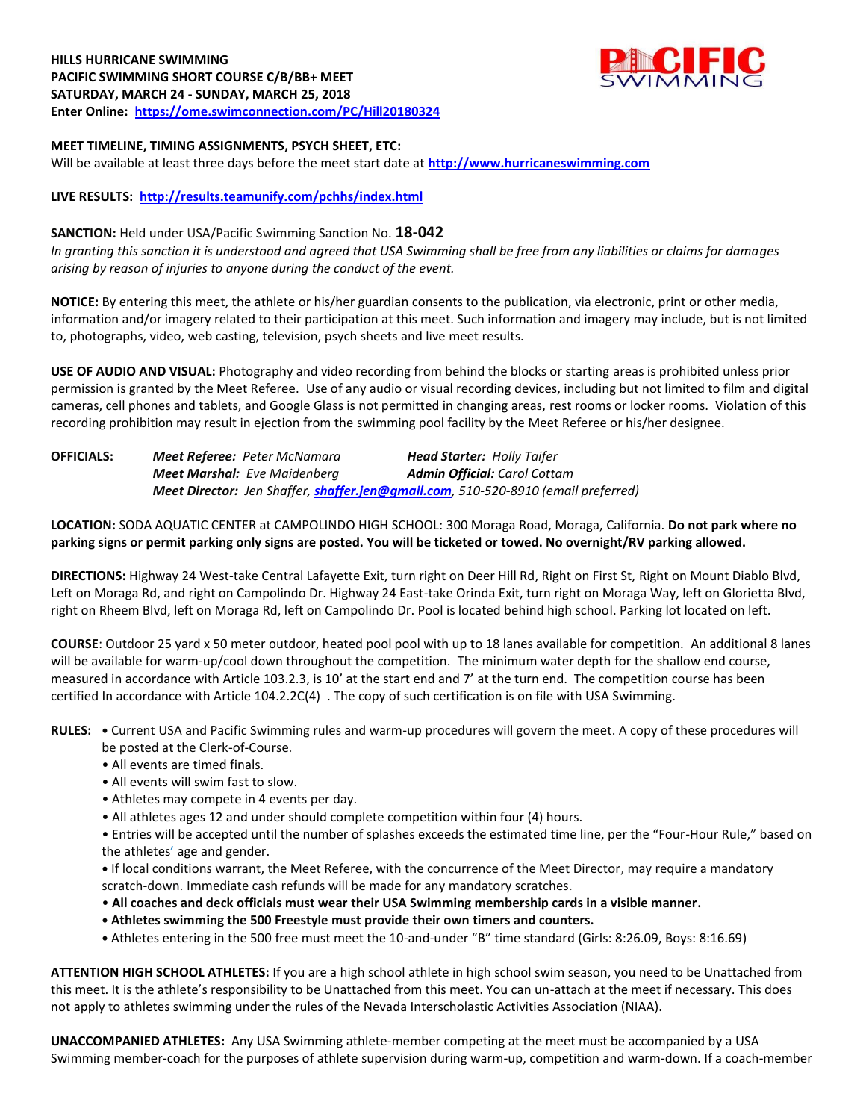# **HILLS HURRICANE SWIMMING PACIFIC SWIMMING SHORT COURSE C/B/BB+ MEET SATURDAY, MARCH 24 - SUNDAY, MARCH 25, 2018 Enter Online: <https://ome.swimconnection.com/PC/Hill20180324>**



### **MEET TIMELINE, TIMING ASSIGNMENTS, PSYCH SHEET, ETC:**

Will be available at least three days before the meet start date at **[http://www.hurricaneswimming.com](http://www.myswimming.info/rocktoberfest2016)**

#### **LIVE RESULTS: <http://results.teamunify.com/pchhs/index.html>**

#### **SANCTION:** Held under USA/Pacific Swimming Sanction No. **18-042**

*In granting this sanction it is understood and agreed that USA Swimming shall be free from any liabilities or claims for damages arising by reason of injuries to anyone during the conduct of the event.*

**NOTICE:** By entering this meet, the athlete or his/her guardian consents to the publication, via electronic, print or other media, information and/or imagery related to their participation at this meet. Such information and imagery may include, but is not limited to, photographs, video, web casting, television, psych sheets and live meet results.

**USE OF AUDIO AND VISUAL:** Photography and video recording from behind the blocks or starting areas is prohibited unless prior permission is granted by the Meet Referee. Use of any audio or visual recording devices, including but not limited to film and digital cameras, cell phones and tablets, and Google Glass is not permitted in changing areas, rest rooms or locker rooms. Violation of this recording prohibition may result in ejection from the swimming pool facility by the Meet Referee or his/her designee.

## **OFFICIALS:** *Meet Referee: Peter McNamara Head Starter: Holly Taifer Meet Marshal: Eve Maidenberg Admin Official: Carol Cottam Meet Director: Jen Shaffer, [shaffer.jen@gmail.com](mailto:shaffer.jen@gmail.com), 510-520-8910 (email preferred)*

**LOCATION:** SODA AQUATIC CENTER at CAMPOLINDO HIGH SCHOOL: 300 Moraga Road, Moraga, California. **Do not park where no parking signs or permit parking only signs are posted. You will be ticketed or towed. No overnight/RV parking allowed.**

**DIRECTIONS:** Highway 24 West-take Central Lafayette Exit, turn right on Deer Hill Rd, Right on First St, Right on Mount Diablo Blvd, Left on Moraga Rd, and right on Campolindo Dr. Highway 24 East-take Orinda Exit, turn right on Moraga Way, left on Glorietta Blvd, right on Rheem Blvd, left on Moraga Rd, left on Campolindo Dr. Pool is located behind high school. Parking lot located on left.

**COURSE**: Outdoor 25 yard x 50 meter outdoor, heated pool pool with up to 18 lanes available for competition. An additional 8 lanes will be available for warm-up/cool down throughout the competition. The minimum water depth for the shallow end course, measured in accordance with Article 103.2.3, is 10' at the start end and 7' at the turn end. The competition course has been certified In accordance with Article 104.2.2C(4) . The copy of such certification is on file with USA Swimming.

**RULES: •** Current USA and Pacific Swimming rules and warm-up procedures will govern the meet. A copy of these procedures will be posted at the Clerk-of-Course.

- All events are timed finals.
- All events will swim fast to slow.
- Athletes may compete in 4 events per day.
- All athletes ages 12 and under should complete competition within four (4) hours.

• Entries will be accepted until the number of splashes exceeds the estimated time line, per the "Four-Hour Rule," based on the athletes' age and gender.

**•** If local conditions warrant, the Meet Referee, with the concurrence of the Meet Director, may require a mandatory scratch-down. Immediate cash refunds will be made for any mandatory scratches.

- **All coaches and deck officials must wear their USA Swimming membership cards in a visible manner.**
- **• Athletes swimming the 500 Freestyle must provide their own timers and counters.**
- **•** Athletes entering in the 500 free must meet the 10-and-under "B" time standard (Girls: 8:26.09, Boys: 8:16.69)

**ATTENTION HIGH SCHOOL ATHLETES:** If you are a high school athlete in high school swim season, you need to be Unattached from this meet. It is the athlete's responsibility to be Unattached from this meet. You can un-attach at the meet if necessary. This does not apply to athletes swimming under the rules of the Nevada Interscholastic Activities Association (NIAA).

**UNACCOMPANIED ATHLETES:** Any USA Swimming athlete-member competing at the meet must be accompanied by a USA Swimming member-coach for the purposes of athlete supervision during warm-up, competition and warm-down. If a coach-member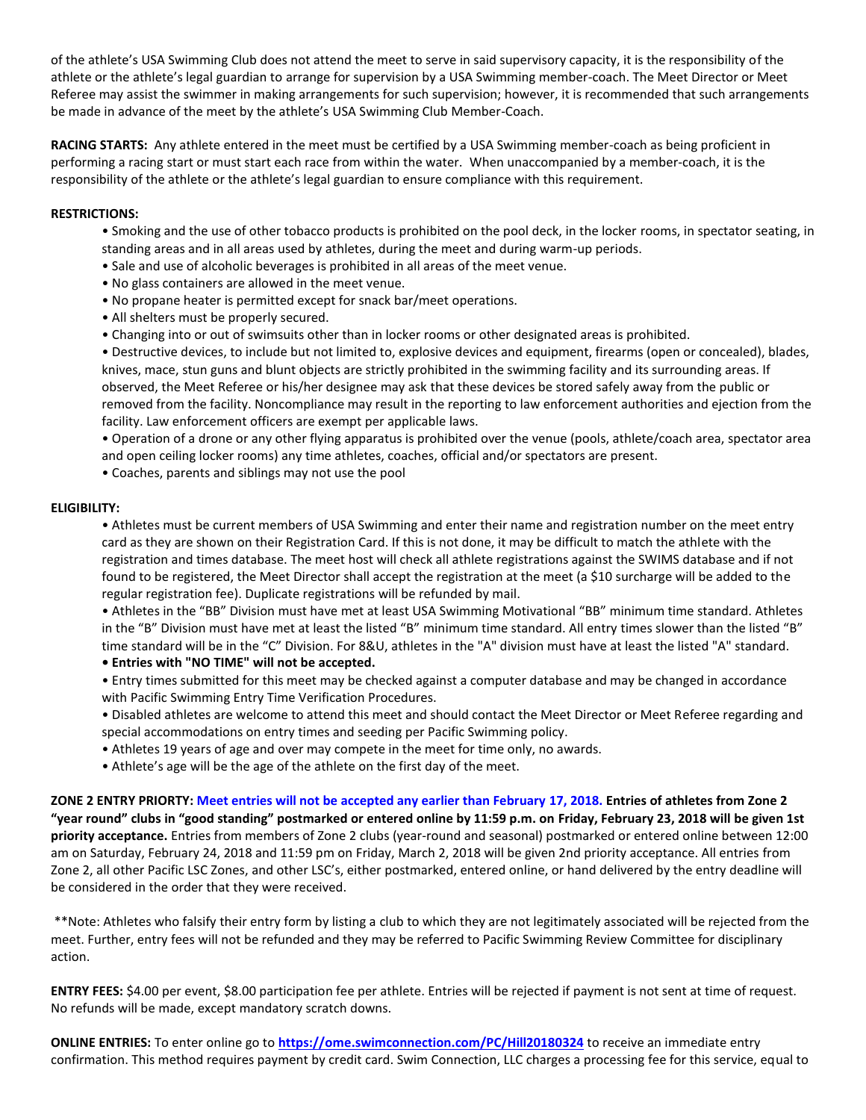of the athlete's USA Swimming Club does not attend the meet to serve in said supervisory capacity, it is the responsibility of the athlete or the athlete's legal guardian to arrange for supervision by a USA Swimming member-coach. The Meet Director or Meet Referee may assist the swimmer in making arrangements for such supervision; however, it is recommended that such arrangements be made in advance of the meet by the athlete's USA Swimming Club Member-Coach.

**RACING STARTS:** Any athlete entered in the meet must be certified by a USA Swimming member-coach as being proficient in performing a racing start or must start each race from within the water. When unaccompanied by a member-coach, it is the responsibility of the athlete or the athlete's legal guardian to ensure compliance with this requirement.

#### **RESTRICTIONS:**

- Smoking and the use of other tobacco products is prohibited on the pool deck, in the locker rooms, in spectator seating, in standing areas and in all areas used by athletes, during the meet and during warm-up periods.
- Sale and use of alcoholic beverages is prohibited in all areas of the meet venue.
- No glass containers are allowed in the meet venue.
- No propane heater is permitted except for snack bar/meet operations.
- All shelters must be properly secured.
- Changing into or out of swimsuits other than in locker rooms or other designated areas is prohibited.

• Destructive devices, to include but not limited to, explosive devices and equipment, firearms (open or concealed), blades, knives, mace, stun guns and blunt objects are strictly prohibited in the swimming facility and its surrounding areas. If observed, the Meet Referee or his/her designee may ask that these devices be stored safely away from the public or removed from the facility. Noncompliance may result in the reporting to law enforcement authorities and ejection from the facility. Law enforcement officers are exempt per applicable laws.

• Operation of a drone or any other flying apparatus is prohibited over the venue (pools, athlete/coach area, spectator area and open ceiling locker rooms) any time athletes, coaches, official and/or spectators are present.

• Coaches, parents and siblings may not use the pool

#### **ELIGIBILITY:**

• Athletes must be current members of USA Swimming and enter their name and registration number on the meet entry card as they are shown on their Registration Card. If this is not done, it may be difficult to match the athlete with the registration and times database. The meet host will check all athlete registrations against the SWIMS database and if not found to be registered, the Meet Director shall accept the registration at the meet (a \$10 surcharge will be added to the regular registration fee). Duplicate registrations will be refunded by mail.

• Athletes in the "BB" Division must have met at least USA Swimming Motivational "BB" minimum time standard. Athletes in the "B" Division must have met at least the listed "B" minimum time standard. All entry times slower than the listed "B" time standard will be in the "C" Division. For 8&U, athletes in the "A" division must have at least the listed "A" standard.

**• Entries with "NO TIME" will not be accepted.** 

• Entry times submitted for this meet may be checked against a computer database and may be changed in accordance with Pacific Swimming Entry Time Verification Procedures.

• Disabled athletes are welcome to attend this meet and should contact the Meet Director or Meet Referee regarding and special accommodations on entry times and seeding per Pacific Swimming policy.

- Athletes 19 years of age and over may compete in the meet for time only, no awards.
- Athlete's age will be the age of the athlete on the first day of the meet.

**ZONE 2 ENTRY PRIORTY: Meet entries will not be accepted any earlier than February 17, 2018. Entries of athletes from Zone 2 "year round" clubs in "good standing" postmarked or entered online by 11:59 p.m. on Friday, February 23, 2018 will be given 1st priority acceptance.** Entries from members of Zone 2 clubs (year-round and seasonal) postmarked or entered online between 12:00 am on Saturday, February 24, 2018 and 11:59 pm on Friday, March 2, 2018 will be given 2nd priority acceptance. All entries from Zone 2, all other Pacific LSC Zones, and other LSC's, either postmarked, entered online, or hand delivered by the entry deadline will be considered in the order that they were received.

\*\*Note: Athletes who falsify their entry form by listing a club to which they are not legitimately associated will be rejected from the meet. Further, entry fees will not be refunded and they may be referred to Pacific Swimming Review Committee for disciplinary action.

**ENTRY FEES:** \$4.00 per event, \$8.00 participation fee per athlete. Entries will be rejected if payment is not sent at time of request. No refunds will be made, except mandatory scratch downs.

**ONLINE ENTRIES:** To enter online go to **<https://ome.swimconnection.com/PC/Hill20180324>** to receive an immediate entry confirmation. This method requires payment by credit card. Swim Connection, LLC charges a processing fee for this service, equal to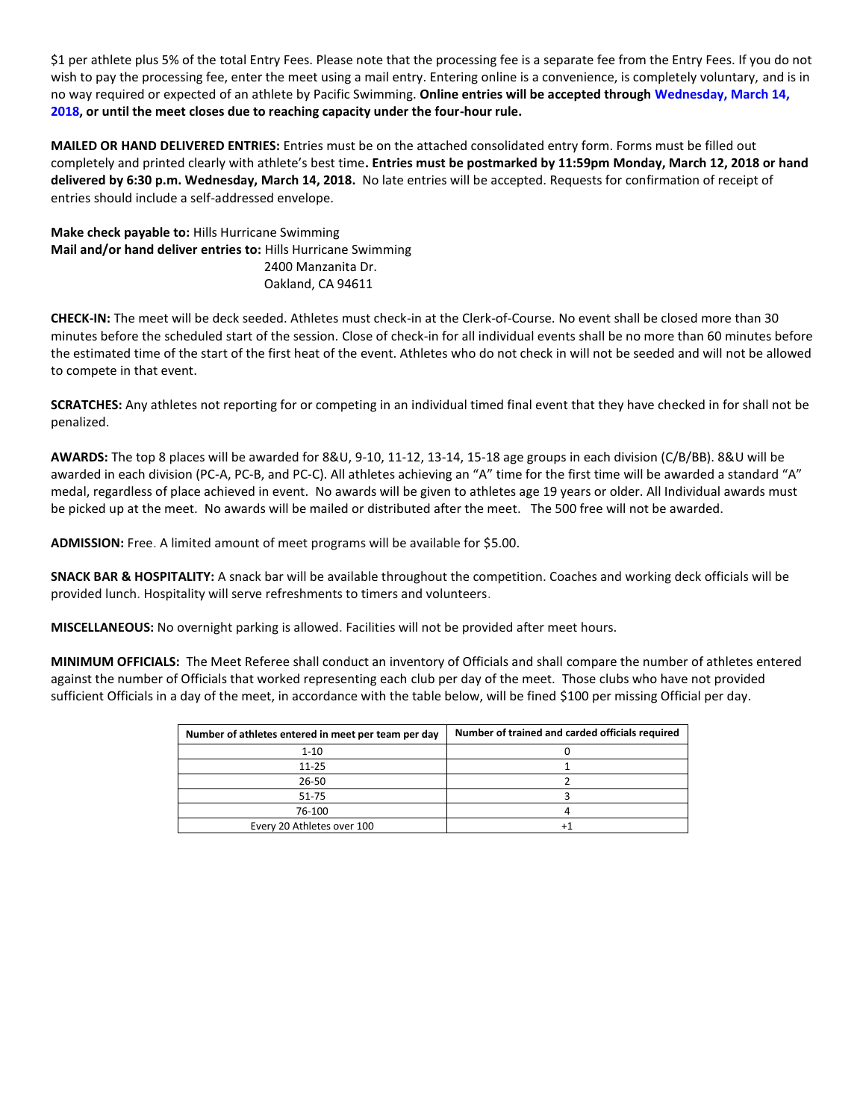\$1 per athlete plus 5% of the total Entry Fees. Please note that the processing fee is a separate fee from the Entry Fees. If you do not wish to pay the processing fee, enter the meet using a mail entry. Entering online is a convenience, is completely voluntary, and is in no way required or expected of an athlete by Pacific Swimming. **Online entries will be accepted through Wednesday, March 14, 2018, or until the meet closes due to reaching capacity under the four-hour rule.**

**MAILED OR HAND DELIVERED ENTRIES:** Entries must be on the attached consolidated entry form. Forms must be filled out completely and printed clearly with athlete's best time**. Entries must be postmarked by 11:59pm Monday, March 12, 2018 or hand delivered by 6:30 p.m. Wednesday, March 14, 2018.** No late entries will be accepted. Requests for confirmation of receipt of entries should include a self-addressed envelope.

**Make check payable to:** Hills Hurricane Swimming **Mail and/or hand deliver entries to:** Hills Hurricane Swimming 2400 Manzanita Dr. Oakland, CA 94611

**CHECK-IN:** The meet will be deck seeded. Athletes must check-in at the Clerk-of-Course. No event shall be closed more than 30 minutes before the scheduled start of the session. Close of check-in for all individual events shall be no more than 60 minutes before the estimated time of the start of the first heat of the event. Athletes who do not check in will not be seeded and will not be allowed to compete in that event.

**SCRATCHES:** Any athletes not reporting for or competing in an individual timed final event that they have checked in for shall not be penalized.

**AWARDS:** The top 8 places will be awarded for 8&U, 9-10, 11-12, 13-14, 15-18 age groups in each division (C/B/BB). 8&U will be awarded in each division (PC-A, PC-B, and PC-C). All athletes achieving an "A" time for the first time will be awarded a standard "A" medal, regardless of place achieved in event. No awards will be given to athletes age 19 years or older. All Individual awards must be picked up at the meet. No awards will be mailed or distributed after the meet. The 500 free will not be awarded.

**ADMISSION:** Free. A limited amount of meet programs will be available for \$5.00.

**SNACK BAR & HOSPITALITY:** A snack bar will be available throughout the competition. Coaches and working deck officials will be provided lunch. Hospitality will serve refreshments to timers and volunteers.

**MISCELLANEOUS:** No overnight parking is allowed. Facilities will not be provided after meet hours.

**MINIMUM OFFICIALS:** The Meet Referee shall conduct an inventory of Officials and shall compare the number of athletes entered against the number of Officials that worked representing each club per day of the meet. Those clubs who have not provided sufficient Officials in a day of the meet, in accordance with the table below, will be fined \$100 per missing Official per day.

| Number of athletes entered in meet per team per day | Number of trained and carded officials required |
|-----------------------------------------------------|-------------------------------------------------|
| $1 - 10$                                            |                                                 |
| $11 - 25$                                           |                                                 |
| 26-50                                               |                                                 |
| 51-75                                               |                                                 |
| 76-100                                              |                                                 |
| Every 20 Athletes over 100                          |                                                 |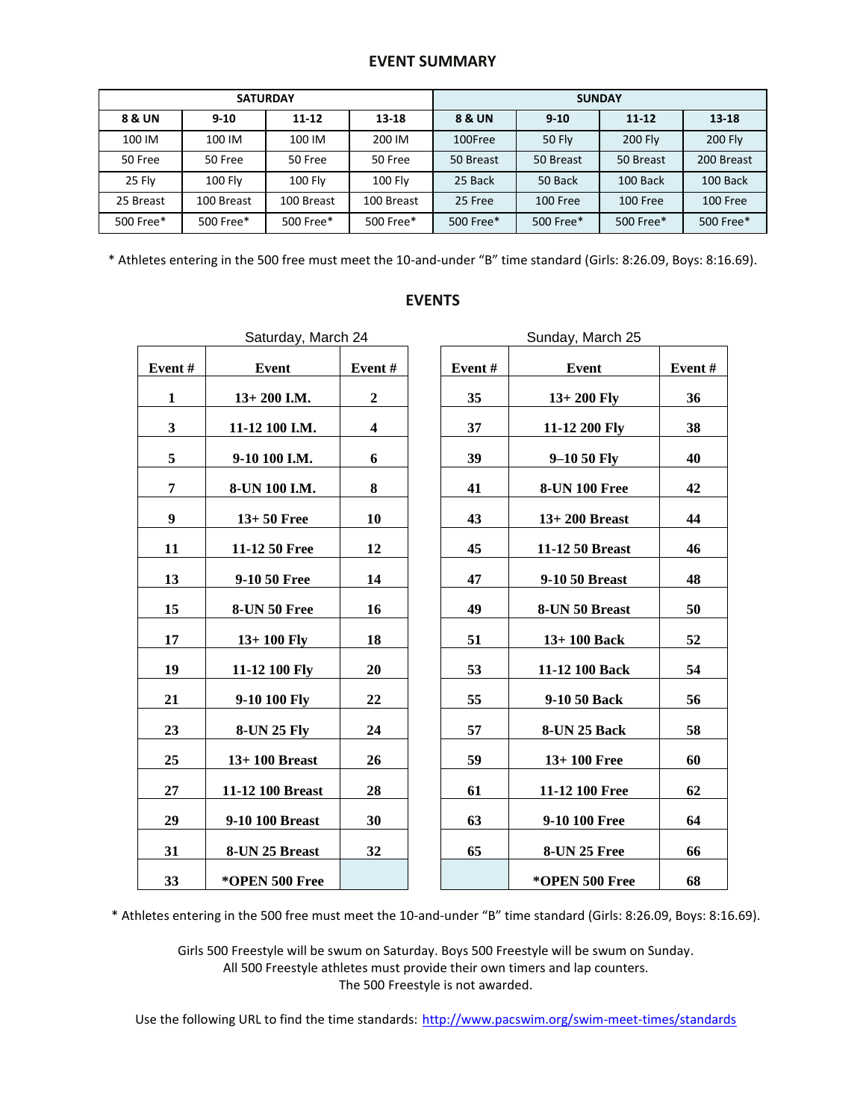# **EVENT SUMMARY**

|           |                | <b>SATURDAY</b> |                | <b>SUNDAY</b> |                 |                |                |  |
|-----------|----------------|-----------------|----------------|---------------|-----------------|----------------|----------------|--|
| 8 & UN    | $9 - 10$       | $11 - 12$       | $13 - 18$      | 8 & UN        | $9 - 10$        | $11 - 12$      | $13 - 18$      |  |
| 100 IM    | 100 IM         | 100 IM          | 200 IM         | 100Free       | <b>50 Flv</b>   | <b>200 Fly</b> | <b>200 Fly</b> |  |
| 50 Free   | 50 Free        | 50 Free         | 50 Free        | 50 Breast     | 50 Breast       | 50 Breast      | 200 Breast     |  |
| 25 Fly    | <b>100 Flv</b> | <b>100 Flv</b>  | <b>100 Flv</b> | 25 Back       | 50 Back         | 100 Back       | 100 Back       |  |
| 25 Breast | 100 Breast     | 100 Breast      | 100 Breast     | 25 Free       | <b>100 Free</b> | 100 Free       | 100 Free       |  |
| 500 Free* | 500 Free*      | 500 Free*       | 500 Free*      | 500 Free*     | 500 Free*       | 500 Free*      | 500 Free*      |  |

\* Athletes entering in the 500 free must meet the 10-and-under "B" time standard (Girls: 8:26.09, Boys: 8:16.69).

|        | Saturday, March 24  |         |
|--------|---------------------|---------|
| Event# | Event               | Event # |
| 1      | $13+200$ I.M.       | 2       |
| 3      | 11-12 100 I.M.      | 4       |
| 5      | 9-10 100 I.M.       | 6       |
| 7      | 8-UN 100 I.M.       | 8       |
| 9      | $13+50$ Free        | 10      |
| 11     | 11-12 50 Free       | 12      |
| 13     | 9-10 50 Free        | 14      |
| 15     | <b>8-UN 50 Free</b> | 16      |
| 17     | $13+100$ Fly        | 18      |
| 19     | 11-12 100 Fly       | 20      |
| 21     | 9-10 100 Fly        | 22      |
| 23     | <b>8-UN 25 Fly</b>  | 24      |
| 25     | $13+100$ Breast     | 26      |
| 27     | 11-12 100 Breast    | 28      |
| 29     | 9-10 100 Breast     | 30      |
| 31     | 8-UN 25 Breast      | 32      |
| 33     | *OPEN 500 Free      |         |
|        |                     |         |

|              | Saturday, March 24  |                |        | Sunday, March 25     |        |
|--------------|---------------------|----------------|--------|----------------------|--------|
| Event#       | <b>Event</b>        | Event#         | Event# | Event                | Event# |
| $\mathbf{1}$ | $13+200$ I.M.       | $\overline{2}$ | 35     | $13+200$ Fly         | 36     |
| 3            | 11-12 100 I.M.      | 4              | 37     | 11-12 200 Fly        | 38     |
| 5            | 9-10 100 I.M.       | 6              | 39     | $9 - 1050$ Fly       | 40     |
| 7            | 8-UN 100 I.M.       | 8              | 41     | <b>8-UN 100 Free</b> | 42     |
| 9            | $13+50$ Free        | 10             | 43     | $13+200$ Breast      | 44     |
| 11           | 11-12 50 Free       | 12             | 45     | 11-12 50 Breast      | 46     |
| 13           | 9-10 50 Free        | 14             | 47     | 9-10 50 Breast       | 48     |
| 15           | <b>8-UN 50 Free</b> | 16             | 49     | 8-UN 50 Breast       | 50     |
| 17           | $13+100$ Fly        | 18             | 51     | $13+100$ Back        | 52     |
| 19           | 11-12 100 Fly       | 20             | 53     | 11-12 100 Back       | 54     |
| 21           | 9-10 100 Fly        | 22             | 55     | 9-10 50 Back         | 56     |
| 23           | <b>8-UN 25 Fly</b>  | 24             | 57     | 8-UN 25 Back         | 58     |
| 25           | $13+100$ Breast     | 26             | 59     | $13+100$ Free        | 60     |
| 27           | 11-12 100 Breast    | 28             | 61     | 11-12 100 Free       | 62     |
| 29           | 9-10 100 Breast     | 30             | 63     | 9-10 100 Free        | 64     |
| 31           | 8-UN 25 Breast      | 32             | 65     | <b>8-UN 25 Free</b>  | 66     |
| 33           | *OPEN 500 Free      |                |        | *OPEN 500 Free       | 68     |

## **EVENTS**

\* Athletes entering in the 500 free must meet the 10-and-under "B" time standard (Girls: 8:26.09, Boys: 8:16.69).

Girls 500 Freestyle will be swum on Saturday. Boys 500 Freestyle will be swum on Sunday. All 500 Freestyle athletes must provide their own timers and lap counters. The 500 Freestyle is not awarded.

Use the following URL to find the time standards: <http://www.pacswim.org/swim-meet-times/standards>